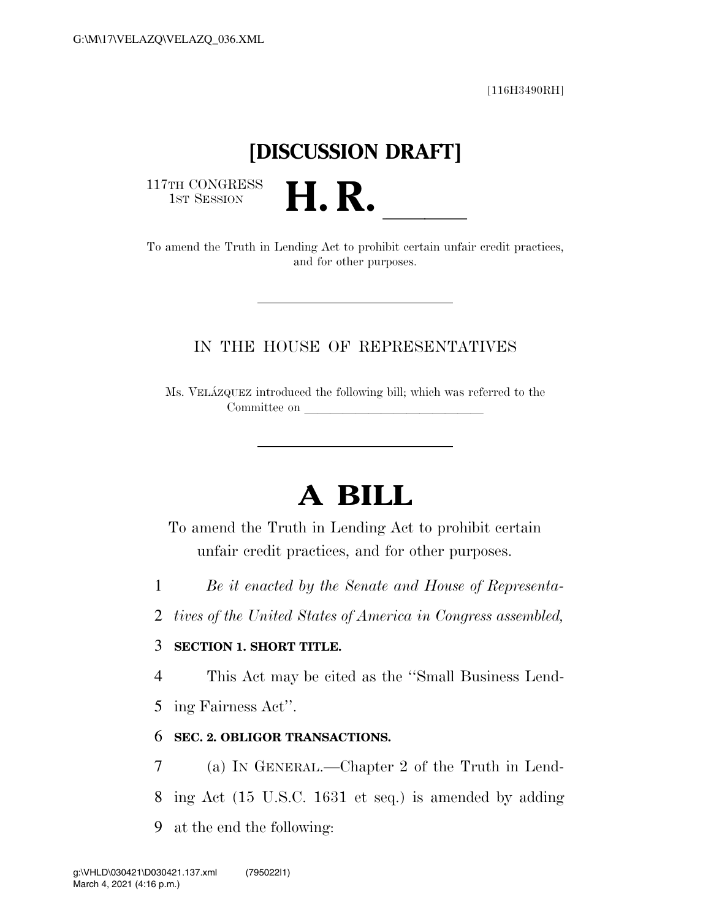[116H3490RH]

## **[DISCUSSION DRAFT]**

117TH CONGRESS<br>1st Session

117TH CONGRESS<br>
1ST SESSION<br>
To amend the Truth in Lending Act to prohibit certain unfair credit practices, and for other purposes.

### IN THE HOUSE OF REPRESENTATIVES

Ms. VELA´ZQUEZ introduced the following bill; which was referred to the Committee on

# **A BILL**

To amend the Truth in Lending Act to prohibit certain unfair credit practices, and for other purposes.

- 1 *Be it enacted by the Senate and House of Representa-*
- 2 *tives of the United States of America in Congress assembled,*

#### 3 **SECTION 1. SHORT TITLE.**

4 This Act may be cited as the ''Small Business Lend-

5 ing Fairness Act''.

#### 6 **SEC. 2. OBLIGOR TRANSACTIONS.**

7 (a) IN GENERAL.—Chapter 2 of the Truth in Lend-8 ing Act (15 U.S.C. 1631 et seq.) is amended by adding 9 at the end the following: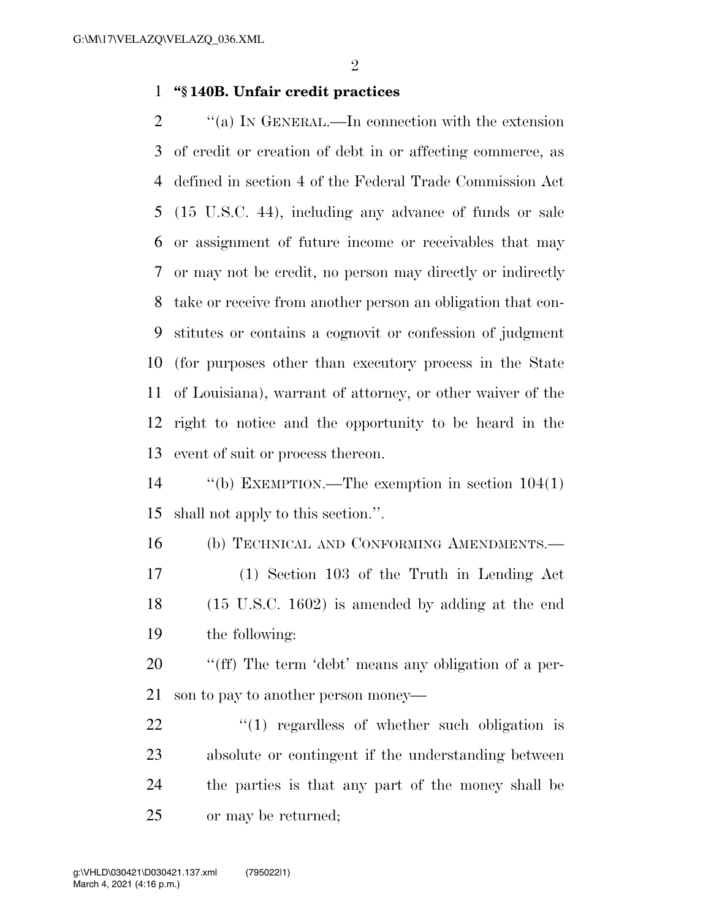#### **''§ 140B. Unfair credit practices**

 $\gamma$  (a) In GENERAL.—In connection with the extension of credit or creation of debt in or affecting commerce, as defined in section 4 of the Federal Trade Commission Act (15 U.S.C. 44), including any advance of funds or sale or assignment of future income or receivables that may or may not be credit, no person may directly or indirectly take or receive from another person an obligation that con- stitutes or contains a cognovit or confession of judgment (for purposes other than executory process in the State of Louisiana), warrant of attorney, or other waiver of the right to notice and the opportunity to be heard in the event of suit or process thereon.

 ''(b) EXEMPTION.—The exemption in section 104(1) shall not apply to this section.''.

 (b) TECHNICAL AND CONFORMING AMENDMENTS.— (1) Section 103 of the Truth in Lending Act (15 U.S.C. 1602) is amended by adding at the end the following:

 ''(ff) The term 'debt' means any obligation of a per-son to pay to another person money—

 $\frac{1}{22}$  ''(1) regardless of whether such obligation is absolute or contingent if the understanding between the parties is that any part of the money shall be or may be returned;